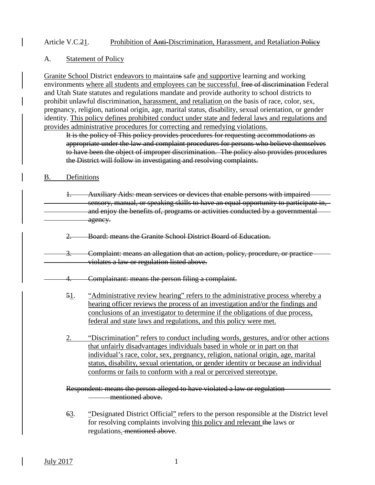### Article V.C.21. Prohibition of Anti-Discrimination, Harassment, and Retaliation Policy

#### A. Statement of Policy

Granite School District endeavors to maintains safe and supportive learning and working environments where all students and employees can be successful. free of discrimination Federal and Utah State statutes and regulations mandate and provide authority to school districts to prohibit unlawful discrimination, harassment, and retaliation on the basis of race, color, sex, pregnancy, religion, national origin, age, marital status, disability, sexual orientation, or gender identity. This policy defines prohibited conduct under state and federal laws and regulations and provides administrative procedures for correcting and remedying violations.

It is the policy of This policy provides procedures for requesting accommodations as appropriate under the law and complaint procedures for persons who believe themselves to have been the object of improper discrimination. The policy also provides procedures the District will follow in investigating and resolving complaints.

#### B. Definitions

1. Auxiliary Aids: mean services or devices that enable persons with impaired sensory, manual, or speaking skills to have an equal opportunity to participate in, and enjoy the benefits of, programs or activities conducted by a governmental agency.

2. Board: means the Granite School District Board of Education.

- 3. Complaint: means an allegation that an action, policy, procedure, or practice violates a law or regulation listed above.
- 4. Complainant: means the person filing a complaint.
	- 51. "Administrative review hearing" refers to the administrative process whereby a hearing officer reviews the process of an investigation and/or the findings and conclusions of an investigator to determine if the obligations of due process, federal and state laws and regulations, and this policy were met.
	- 2. "Discrimination" refers to conduct including words, gestures, and/or other actions that unfairly disadvantages individuals based in whole or in part on that individual's race, color, sex, pregnancy, religion, national origin, age, marital status, disability, sexual orientation, or gender identity or because an individual conforms or fails to conform with a real or perceived stereotype.

Respondent: means the person alleged to have violated a law or regulation mentioned above.

63. "Designated District Official" refers to the person responsible at the District level for resolving complaints involving this policy and relevant the laws or regulations. mentioned above.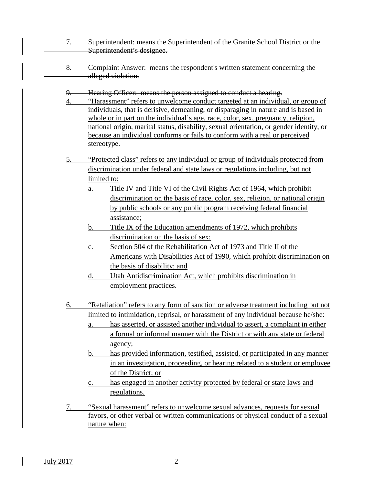- 7. Superintendent: means the Superintendent of the Granite School District or the Superintendent's designee.
- 8. Complaint Answer: means the respondent's written statement concerning the alleged violation.
- 9. Hearing Officer: means the person assigned to conduct a hearing.
- 4. "Harassment" refers to unwelcome conduct targeted at an individual, or group of individuals, that is derisive, demeaning, or disparaging in nature and is based in whole or in part on the individual's age, race, color, sex, pregnancy, religion, national origin, marital status, disability, sexual orientation, or gender identity, or because an individual conforms or fails to conform with a real or perceived stereotype.
- 5. "Protected class" refers to any individual or group of individuals protected from discrimination under federal and state laws or regulations including, but not limited to:
	- a. Title IV and Title VI of the Civil Rights Act of 1964, which prohibit discrimination on the basis of race, color, sex, religion, or national origin by public schools or any public program receiving federal financial assistance;
	- b. Title IX of the Education amendments of 1972, which prohibits discrimination on the basis of sex;
	- c. Section 504 of the Rehabilitation Act of 1973 and Title II of the Americans with Disabilities Act of 1990, which prohibit discrimination on the basis of disability; and
	- d. Utah Antidiscrimination Act, which prohibits discrimination in employment practices.
- 6. "Retaliation" refers to any form of sanction or adverse treatment including but not limited to intimidation, reprisal, or harassment of any individual because he/she:
	- a. has asserted, or assisted another individual to assert, a complaint in either a formal or informal manner with the District or with any state or federal agency;
	- b. has provided information, testified, assisted, or participated in any manner in an investigation, proceeding, or hearing related to a student or employee of the District; or
	- c. has engaged in another activity protected by federal or state laws and regulations.
- 7. "Sexual harassment" refers to unwelcome sexual advances, requests for sexual favors, or other verbal or written communications or physical conduct of a sexual nature when: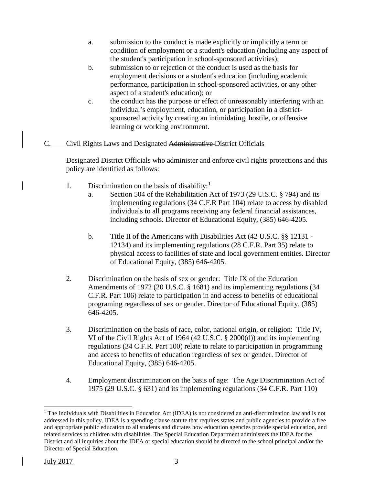- a. submission to the conduct is made explicitly or implicitly a term or condition of employment or a student's education (including any aspect of the student's participation in school-sponsored activities);
- b. submission to or rejection of the conduct is used as the basis for employment decisions or a student's education (including academic performance, participation in school-sponsored activities, or any other aspect of a student's education); or
- c. the conduct has the purpose or effect of unreasonably interfering with an individual's employment, education, or participation in a districtsponsored activity by creating an intimidating, hostile, or offensive learning or working environment.

# C. Civil Rights Laws and Designated Administrative District Officials

Designated District Officials who administer and enforce civil rights protections and this policy are identified as follows:

- [1](#page-2-0). Discrimination on the basis of disability:<sup>1</sup>
	- a. Section 504 of the Rehabilitation Act of 1973 (29 U.S.C. § 794) and its implementing regulations (34 C.F.R Part 104) relate to access by disabled individuals to all programs receiving any federal financial assistances, including schools. Director of Educational Equity, (385) 646-4205.
	- b. Title II of the Americans with Disabilities Act (42 U.S.C. §§ 12131 12134) and its implementing regulations (28 C.F.R. Part 35) relate to physical access to facilities of state and local government entities. Director of Educational Equity, (385) 646-4205.
- 2. Discrimination on the basis of sex or gender: Title IX of the Education Amendments of 1972 (20 U.S.C. § 1681) and its implementing regulations (34 C.F.R. Part 106) relate to participation in and access to benefits of educational programing regardless of sex or gender. Director of Educational Equity, (385) 646-4205.
- 3. Discrimination on the basis of race, color, national origin, or religion: Title IV, VI of the Civil Rights Act of 1964 (42 U.S.C. § 2000(d)) and its implementing regulations (34 C.F.R. Part 100) relate to relate to participation in programming and access to benefits of education regardless of sex or gender. Director of Educational Equity, (385) 646-4205.
- 4. Employment discrimination on the basis of age: The Age Discrimination Act of 1975 (29 U.S.C. § 631) and its implementing regulations (34 C.F.R. Part 110)

<span id="page-2-0"></span><sup>&</sup>lt;sup>1</sup> The Individuals with Disabilities in Education Act (IDEA) is not considered an anti-discrimination law and is not addressed in this policy. IDEA is a spending clause statute that requires states and public agencies to provide a free and appropriate public education to all students and dictates how education agencies provide special education, and related services to children with disabilities. The Special Education Department administers the IDEA for the District and all inquiries about the IDEA or special education should be directed to the school principal and/or the Director of Special Education.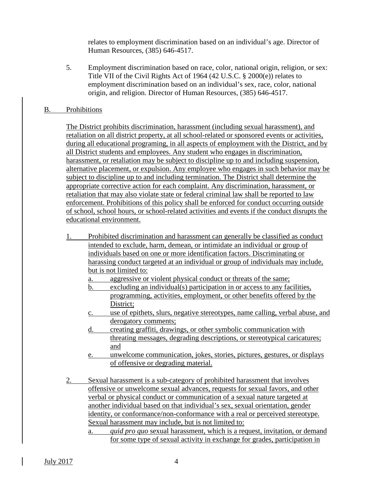relates to employment discrimination based on an individual's age. Director of Human Resources, (385) 646-4517.

5. Employment discrimination based on race, color, national origin, religion, or sex: Title VII of the Civil Rights Act of 1964 (42 U.S.C. § 2000(e)) relates to employment discrimination based on an individual's sex, race, color, national origin, and religion. Director of Human Resources, (385) 646-4517.

#### B. Prohibitions

The District prohibits discrimination, harassment (including sexual harassment), and retaliation on all district property, at all school-related or sponsored events or activities, during all educational programing, in all aspects of employment with the District, and by all District students and employees. Any student who engages in discrimination, harassment, or retaliation may be subject to discipline up to and including suspension, alternative placement, or expulsion. Any employee who engages in such behavior may be subject to discipline up to and including termination. The District shall determine the appropriate corrective action for each complaint. Any discrimination, harassment, or retaliation that may also violate state or federal criminal law shall be reported to law enforcement. Prohibitions of this policy shall be enforced for conduct occurring outside of school, school hours, or school-related activities and events if the conduct disrupts the educational environment.

- 1. Prohibited discrimination and harassment can generally be classified as conduct intended to exclude, harm, demean, or intimidate an individual or group of individuals based on one or more identification factors. Discriminating or harassing conduct targeted at an individual or group of individuals may include, but is not limited to:
	- a. aggressive or violent physical conduct or threats of the same;
	- b. excluding an individual(s) participation in or access to any facilities, programming, activities, employment, or other benefits offered by the District;
	- c. use of epithets, slurs, negative stereotypes, name calling, verbal abuse, and derogatory comments;
	- d. creating graffiti, drawings, or other symbolic communication with threating messages, degrading descriptions, or stereotypical caricatures; and
	- e. unwelcome communication, jokes, stories, pictures, gestures, or displays of offensive or degrading material.
- 2. Sexual harassment is a sub-category of prohibited harassment that involves offensive or unwelcome sexual advances, requests for sexual favors, and other verbal or physical conduct or communication of a sexual nature targeted at another individual based on that individual's sex, sexual orientation, gender identity, or conformance/non-conformance with a real or perceived stereotype. Sexual harassment may include, but is not limited to:
	- a. *quid pro quo* sexual harassment*,* which is a request, invitation, or demand for some type of sexual activity in exchange for grades, participation in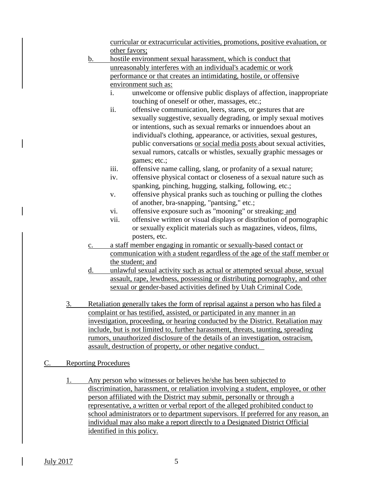curricular or extracurricular activities, promotions, positive evaluation, or other favors;

- b. hostile environment sexual harassment, which is conduct that unreasonably interferes with an individual's academic or work performance or that creates an intimidating, hostile, or offensive environment such as:
	- i. unwelcome or offensive public displays of affection, inappropriate touching of oneself or other, massages, etc.;
	- ii. offensive communication, leers, stares, or gestures that are sexually suggestive, sexually degrading, or imply sexual motives or intentions, such as sexual remarks or innuendoes about an individual's clothing, appearance, or activities, sexual gestures, public conversations or social media posts about sexual activities, sexual rumors, catcalls or whistles, sexually graphic messages or games; etc.;
	- iii. offensive name calling, slang, or profanity of a sexual nature;
	- iv. offensive physical contact or closeness of a sexual nature such as spanking, pinching, hugging, stalking, following, etc.;
	- v. offensive physical pranks such as touching or pulling the clothes of another, bra-snapping, "pantsing," etc.;
	- vi. offensive exposure such as "mooning" or streaking; and
	- vii. offensive written or visual displays or distribution of pornographic or sexually explicit materials such as magazines, videos, films, posters, etc.
- c. a staff member engaging in romantic or sexually-based contact or communication with a student regardless of the age of the staff member or the student; and
- d. unlawful sexual activity such as actual or attempted sexual abuse, sexual assault, rape, lewdness, possessing or distributing pornography, and other sexual or gender-based activities defined by Utah Criminal Code.
- 3. Retaliation generally takes the form of reprisal against a person who has filed a complaint or has testified, assisted, or participated in any manner in an investigation, proceeding, or hearing conducted by the District. Retaliation may include, but is not limited to, further harassment, threats, taunting, spreading rumors, unauthorized disclosure of the details of an investigation, ostracism, assault, destruction of property, or other negative conduct.

# C. Reporting Procedures

1. Any person who witnesses or believes he/she has been subjected to discrimination, harassment, or retaliation involving a student, employee, or other person affiliated with the District may submit, personally or through a representative, a written or verbal report of the alleged prohibited conduct to school administrators or to department supervisors. If preferred for any reason, an individual may also make a report directly to a Designated District Official identified in this policy.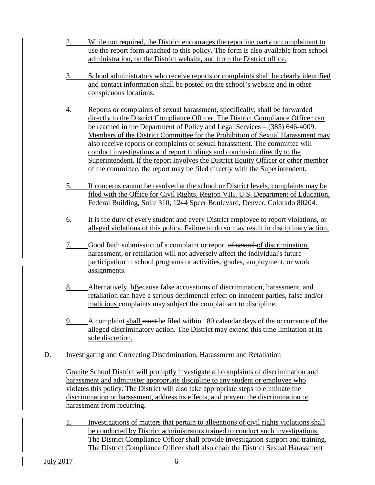- 2. While not required, the District encourages the reporting party or complainant to use the report form attached to this policy. The form is also available from school administration, on the District website, and from the District office.
- 3. School administrators who receive reports or complaints shall be clearly identified and contact information shall be posted on the school's website and in other conspicuous locations.
- 4. Reports or complaints of sexual harassment, specifically, shall be forwarded directly to the District Compliance Officer. The District Compliance Officer can be reached in the Department of Policy and Legal Services – (385) 646-4009. Members of the District Committee for the Prohibition of Sexual Harassment may also receive reports or complaints of sexual harassment. The committee will conduct investigations and report findings and conclusion directly to the Superintendent. If the report involves the District Equity Officer or other member of the committee, the report may be filed directly with the Superintendent.
- 5. If concerns cannot be resolved at the school or District levels, complaints may be filed with the Office for Civil Rights, Region VIII, U.S. Department of Education, Federal Building, Suite 310, 1244 Speer Boulevard, Denver, Colorado 80204.
- 6. It is the duty of every student and every District employee to report violations, or alleged violations of this policy. Failure to do so may result in disciplinary action.
- 7. Good faith submission of a complaint or report of sexual of discrimination, harassment, or retaliation will not adversely affect the individual's future participation in school programs or activities, grades, employment, or work assignments.
- 8. Alternatively, bBecause false accusations of discrimination, harassment, and retaliation can have a serious detrimental effect on innocent parties, false and/or malicious complaints may subject the complainant to discipline.
- 9. A complaint shall must be filed within 180 calendar days of the occurrence of the alleged discriminatory action. The District may extend this time limitation at its sole discretion.
- D. Investigating and Correcting Discrimination, Harassment and Retaliation

Granite School District will promptly investigate all complaints of discrimination and harassment and administer appropriate discipline to any student or employee who violates this policy. The District will also take appropriate steps to eliminate the discrimination or harassment, address its effects, and prevent the discrimination or harassment from recurring.

1. Investigations of matters that pertain to allegations of civil rights violations shall be conducted by District administrators trained to conduct such investigations. The District Compliance Officer shall provide investigation support and training. The District Compliance Officer shall also chair the District Sexual Harassment

July 2017 6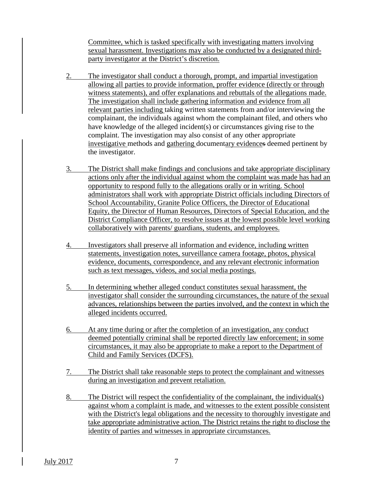Committee, which is tasked specifically with investigating matters involving sexual harassment. Investigations may also be conducted by a designated thirdparty investigator at the District's discretion.

- 2. The investigator shall conduct a thorough, prompt, and impartial investigation allowing all parties to provide information, proffer evidence (directly or through witness statements), and offer explanations and rebuttals of the allegations made. The investigation shall include gathering information and evidence from all relevant parties including taking written statements from and/or interviewing the complainant, the individuals against whom the complainant filed, and others who have knowledge of the alleged incident(s) or circumstances giving rise to the complaint. The investigation may also consist of any other appropriate investigative methods and gathering documentary evidences deemed pertinent by the investigator.
- 3. The District shall make findings and conclusions and take appropriate disciplinary actions only after the individual against whom the complaint was made has had an opportunity to respond fully to the allegations orally or in writing. School administrators shall work with appropriate District officials including Directors of School Accountability, Granite Police Officers, the Director of Educational Equity, the Director of Human Resources, Directors of Special Education, and the District Compliance Officer, to resolve issues at the lowest possible level working collaboratively with parents/ guardians, students, and employees.
- 4. Investigators shall preserve all information and evidence, including written statements, investigation notes, surveillance camera footage, photos, physical evidence, documents, correspondence, and any relevant electronic information such as text messages, videos, and social media postings.
- 5. In determining whether alleged conduct constitutes sexual harassment, the investigator shall consider the surrounding circumstances, the nature of the sexual advances, relationships between the parties involved, and the context in which the alleged incidents occurred.
- 6. At any time during or after the completion of an investigation, any conduct deemed potentially criminal shall be reported directly law enforcement; in some circumstances, it may also be appropriate to make a report to the Department of Child and Family Services (DCFS).
- 7. The District shall take reasonable steps to protect the complainant and witnesses during an investigation and prevent retaliation.
- 8. The District will respect the confidentiality of the complainant, the individual(s) against whom a complaint is made, and witnesses to the extent possible consistent with the District's legal obligations and the necessity to thoroughly investigate and take appropriate administrative action. The District retains the right to disclose the identity of parties and witnesses in appropriate circumstances.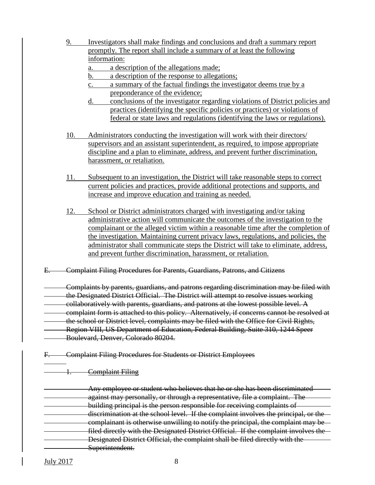- 9. Investigators shall make findings and conclusions and draft a summary report promptly. The report shall include a summary of at least the following information:
	- a. a description of the allegations made;
	- b. a description of the response to allegations;
	- c. a summary of the factual findings the investigator deems true by a preponderance of the evidence;
	- d. conclusions of the investigator regarding violations of District policies and practices (identifying the specific policies or practices) or violations of federal or state laws and regulations (identifying the laws or regulations).
- 10. Administrators conducting the investigation will work with their directors/ supervisors and an assistant superintendent, as required, to impose appropriate discipline and a plan to eliminate, address, and prevent further discrimination, harassment, or retaliation.
- 11. Subsequent to an investigation, the District will take reasonable steps to correct current policies and practices, provide additional protections and supports, and increase and improve education and training as needed.
- 12. School or District administrators charged with investigating and/or taking administrative action will communicate the outcomes of the investigation to the complainant or the alleged victim within a reasonable time after the completion of the investigation. Maintaining current privacy laws, regulations, and policies, the administrator shall communicate steps the District will take to eliminate, address, and prevent further discrimination, harassment, or retaliation.
- E. Complaint Filing Procedures for Parents, Guardians, Patrons, and Citizens

Complaints by parents, guardians, and patrons regarding discrimination may be filed with the Designated District Official. The District will attempt to resolve issues working collaboratively with parents, guardians, and patrons at the lowest possible level. A complaint form is attached to this policy. Alternatively, if concerns cannot be resolved at the school or District level, complaints may be filed with the Office for Civil Rights, Region VIII, US Department of Education, Federal Building, Suite 310, 1244 Speer Boulevard, Denver, Colorado 80204.

- F. Complaint Filing Procedures for Students or District Employees
- 1. Complaint Filing

Any employee or student who believes that he or she has been discriminated **against may personally, or through a representative, file a complaint. The** building principal is the person responsible for receiving complaints of discrimination at the school level. If the complaint involves the principal, or the complainant is otherwise unwilling to notify the principal, the complaint may be filed directly with the Designated District Official. If the complaint involves the Designated District Official, the complaint shall be filed directly with the Superintendent.

**July 2017** 8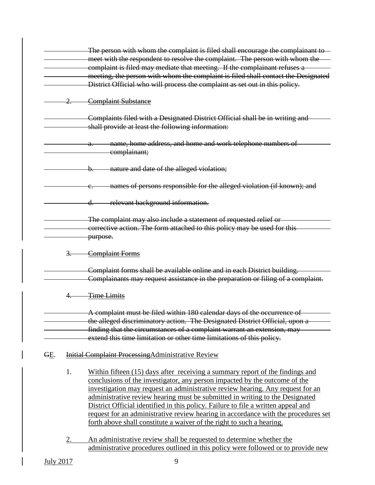|                  |    | The person with whom the complaint is filed shall encourage the complainant to -<br>meet with the respondent to resolve the complaint. The person with whom the<br>complaint is filed may mediate that meeting. If the complainant refuses a                                                                                                                                                                                                                                                                                                                                      |
|------------------|----|-----------------------------------------------------------------------------------------------------------------------------------------------------------------------------------------------------------------------------------------------------------------------------------------------------------------------------------------------------------------------------------------------------------------------------------------------------------------------------------------------------------------------------------------------------------------------------------|
|                  |    | meeting, the person with whom the complaint is filed shall contact the Designated<br>District Official who will process the complaint as set out in this policy.                                                                                                                                                                                                                                                                                                                                                                                                                  |
|                  |    | <b>Complaint Substance</b>                                                                                                                                                                                                                                                                                                                                                                                                                                                                                                                                                        |
|                  |    | Complaints filed with a Designated District Official shall be in writing and<br>shall provide at least the following information:                                                                                                                                                                                                                                                                                                                                                                                                                                                 |
|                  |    | name, home address, and home and work telephone numbers of<br>complainant;                                                                                                                                                                                                                                                                                                                                                                                                                                                                                                        |
|                  |    | nature and date of the alleged violation;<br>b.                                                                                                                                                                                                                                                                                                                                                                                                                                                                                                                                   |
|                  |    | names of persons responsible for the alleged violation (if known); and                                                                                                                                                                                                                                                                                                                                                                                                                                                                                                            |
|                  |    | relevant background information.                                                                                                                                                                                                                                                                                                                                                                                                                                                                                                                                                  |
|                  |    | The complaint may also include a statement of requested relief or<br>corrective action. The form attached to this policy may be used for this<br>purpose.                                                                                                                                                                                                                                                                                                                                                                                                                         |
|                  | 3. | <b>Complaint Forms</b>                                                                                                                                                                                                                                                                                                                                                                                                                                                                                                                                                            |
|                  |    | Complaint forms shall be available online and in each District building.<br>Complainants may request assistance in the preparation or filing of a complaint.                                                                                                                                                                                                                                                                                                                                                                                                                      |
|                  | 4. | <del>Time Limits</del>                                                                                                                                                                                                                                                                                                                                                                                                                                                                                                                                                            |
|                  |    | A complaint must be filed within 180 calendar days of the occurrence of<br>the alleged discriminatory action. The Designated District Official, upon a<br>finding that the circumstances of a complaint warrant an extension, may<br>extend this time limitation or other time limitations of this policy.                                                                                                                                                                                                                                                                        |
| GE.              |    | <b>Initial Complaint ProcessingAdministrative Review</b>                                                                                                                                                                                                                                                                                                                                                                                                                                                                                                                          |
|                  | 1. | Within fifteen (15) days after receiving a summary report of the findings and<br>conclusions of the investigator, any person impacted by the outcome of the<br>investigation may request an administrative review hearing. Any request for an<br>administrative review hearing must be submitted in writing to the Designated<br>District Official identified in this policy. Failure to file a written appeal and<br>request for an administrative review hearing in accordance with the procedures set<br>forth above shall constitute a waiver of the right to such a hearing. |
|                  | 2. | An administrative review shall be requested to determine whether the<br>administrative procedures outlined in this policy were followed or to provide new                                                                                                                                                                                                                                                                                                                                                                                                                         |
| <b>July 2017</b> |    | 9                                                                                                                                                                                                                                                                                                                                                                                                                                                                                                                                                                                 |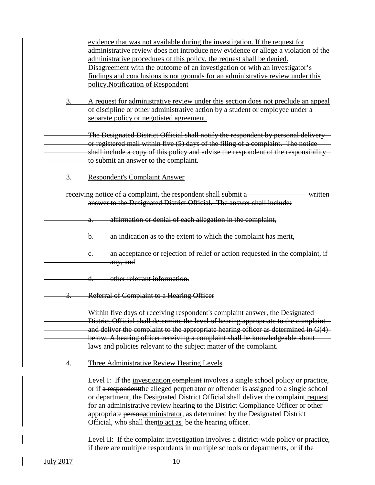|    | evidence that was not available during the investigation. If the request for<br>administrative review does not introduce new evidence or allege a violation of the<br>administrative procedures of this policy, the request shall be denied.<br>Disagreement with the outcome of an investigation or with an investigator's<br>findings and conclusions is not grounds for an administrative review under this<br>policy.Notification of Respondent                                                       |
|----|-----------------------------------------------------------------------------------------------------------------------------------------------------------------------------------------------------------------------------------------------------------------------------------------------------------------------------------------------------------------------------------------------------------------------------------------------------------------------------------------------------------|
| 3. | A request for administrative review under this section does not preclude an appeal<br>of discipline or other administrative action by a student or employee under a<br>separate policy or negotiated agreement.                                                                                                                                                                                                                                                                                           |
|    | The Designated District Official shall notify the respondent by personal delivery<br>or registered mail within five (5) days of the filing of a complaint. The notice<br>shall include a copy of this policy and advise the respondent of the responsibility-<br>to submit an answer to the complaint.                                                                                                                                                                                                    |
| 3. | <b>Respondent's Complaint Answer</b>                                                                                                                                                                                                                                                                                                                                                                                                                                                                      |
|    | receiving notice of a complaint, the respondent shall submit a<br>written<br>answer to the Designated District Official. The answer shall include:                                                                                                                                                                                                                                                                                                                                                        |
|    | affirmation or denial of each allegation in the complaint,<br>a.                                                                                                                                                                                                                                                                                                                                                                                                                                          |
|    | an indication as to the extent to which the complaint has merit,                                                                                                                                                                                                                                                                                                                                                                                                                                          |
|    | an acceptance or rejection of relief or action requested in the complaint, if<br><del>any, and</del>                                                                                                                                                                                                                                                                                                                                                                                                      |
|    | other relevant information.                                                                                                                                                                                                                                                                                                                                                                                                                                                                               |
| 3. | <b>Referral of Complaint to a Hearing Officer</b>                                                                                                                                                                                                                                                                                                                                                                                                                                                         |
|    | Within five days of receiving respondent's complaint answer, the Designated<br>District Official shall determine the level of hearing appropriate to the complaint<br>and deliver the complaint to the appropriate hearing officer as determined in $G(4)$<br>below. A hearing officer receiving a complaint shall be knowledgeable about<br>laws and policies relevant to the subject matter of the complaint.                                                                                           |
| 4. | Three Administrative Review Hearing Levels                                                                                                                                                                                                                                                                                                                                                                                                                                                                |
|    | Level I: If the <i>investigation</i> complaint involves a single school policy or practice,<br>or if a respondent the alleged perpetrator or offender is assigned to a single school<br>or department, the Designated District Official shall deliver the complaint request<br>for an administrative review hearing to the District Compliance Officer or other<br>appropriate personadministrator, as determined by the Designated District<br>Official, who shall thento act as be the hearing officer. |
|    | vial II. If the complete investigation involves a district vide policy or no                                                                                                                                                                                                                                                                                                                                                                                                                              |

Level II: If the complaint investigation involves a district-wide policy or practice, if there are multiple respondents in multiple schools or departments, or if the

 $\overline{\phantom{a}}$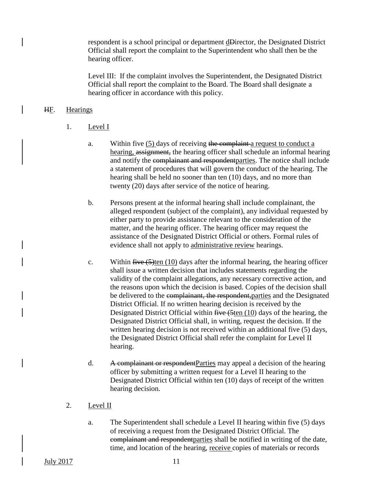respondent is a school principal or department dDirector, the Designated District Official shall report the complaint to the Superintendent who shall then be the hearing officer.

Level III: If the complaint involves the Superintendent, the Designated District Official shall report the complaint to the Board. The Board shall designate a hearing officer in accordance with this policy.

# HF. Hearings

- 1. Level I
	- a. Within five  $(5)$  days of receiving the complaint a request to conduct a hearing, assignment, the hearing officer shall schedule an informal hearing and notify the complainant and respondentparties. The notice shall include a statement of procedures that will govern the conduct of the hearing. The hearing shall be held no sooner than ten (10) days, and no more than twenty (20) days after service of the notice of hearing.
	- b. Persons present at the informal hearing shall include complainant, the alleged respondent (subject of the complaint), any individual requested by either party to provide assistance relevant to the consideration of the matter, and the hearing officer. The hearing officer may request the assistance of the Designated District Official or others. Formal rules of evidence shall not apply to administrative review hearings.
	- c. Within  $\frac{f}{f}$  Within  $\frac{f}{f}$  (10) days after the informal hearing, the hearing officer shall issue a written decision that includes statements regarding the validity of the complaint allegations, any necessary corrective action, and the reasons upon which the decision is based. Copies of the decision shall be delivered to the complainant, the respondent, parties and the Designated District Official. If no written hearing decision is received by the Designated District Official within  $five(5ten(10))$  days of the hearing, the Designated District Official shall, in writing, request the decision. If the written hearing decision is not received within an additional five (5) days, the Designated District Official shall refer the complaint for Level II hearing.
	- d. A complainant or respondentParties may appeal a decision of the hearing officer by submitting a written request for a Level II hearing to the Designated District Official within ten (10) days of receipt of the written hearing decision.

# 2. Level II

a. The Superintendent shall schedule a Level II hearing within five (5) days of receiving a request from the Designated District Official. The complainant and respondentparties shall be notified in writing of the date, time, and location of the hearing, receive copies of materials or records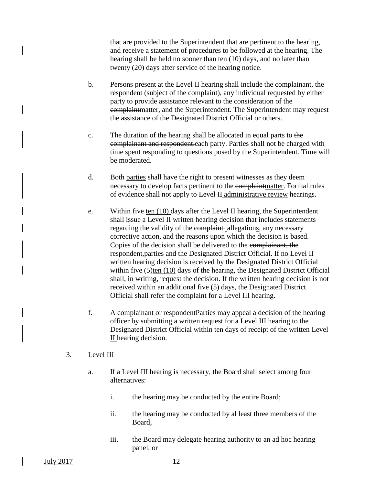that are provided to the Superintendent that are pertinent to the hearing, and receive a statement of procedures to be followed at the hearing. The hearing shall be held no sooner than ten (10) days, and no later than twenty (20) days after service of the hearing notice.

- b. Persons present at the Level II hearing shall include the complainant, the respondent (subject of the complaint), any individual requested by either party to provide assistance relevant to the consideration of the complaintmatter, and the Superintendent. The Superintendent may request the assistance of the Designated District Official or others.
- c. The duration of the hearing shall be allocated in equal parts to the complainant and respondent.each party. Parties shall not be charged with time spent responding to questions posed by the Superintendent. Time will be moderated.
- d. Both parties shall have the right to present witnesses as they deem necessary to develop facts pertinent to the complaintmatter. Formal rules of evidence shall not apply to Level II administrative review hearings.
- e. Within  $f$ ive ten  $(10)$  days after the Level II hearing, the Superintendent shall issue a Level II written hearing decision that includes statements regarding the validity of the complaint-allegations, any necessary corrective action, and the reasons upon which the decision is based. Copies of the decision shall be delivered to the complainant, the respondent,parties and the Designated District Official. If no Level II written hearing decision is received by the Designated District Official within  $five(5)$ ten (10) days of the hearing, the Designated District Official shall, in writing, request the decision. If the written hearing decision is not received within an additional five (5) days, the Designated District Official shall refer the complaint for a Level III hearing.
- f. A complainant or respondentParties may appeal a decision of the hearing officer by submitting a written request for a Level III hearing to the Designated District Official within ten days of receipt of the written Level II hearing decision.

#### 3. Level III

- a. If a Level III hearing is necessary, the Board shall select among four alternatives:
	- i. the hearing may be conducted by the entire Board;
	- ii. the hearing may be conducted by al least three members of the Board,
	- iii. the Board may delegate hearing authority to an ad hoc hearing panel, or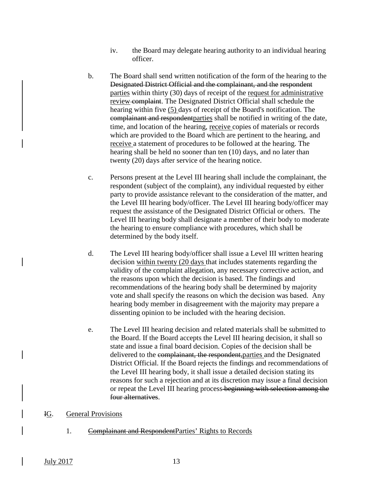- iv. the Board may delegate hearing authority to an individual hearing officer.
- b. The Board shall send written notification of the form of the hearing to the Designated District Official and the complainant, and the respondent parties within thirty (30) days of receipt of the request for administrative review complaint. The Designated District Official shall schedule the hearing within five (5) days of receipt of the Board's notification. The complainant and respondentparties shall be notified in writing of the date, time, and location of the hearing, receive copies of materials or records which are provided to the Board which are pertinent to the hearing, and receive a statement of procedures to be followed at the hearing. The hearing shall be held no sooner than ten (10) days, and no later than twenty (20) days after service of the hearing notice.
- c. Persons present at the Level III hearing shall include the complainant, the respondent (subject of the complaint), any individual requested by either party to provide assistance relevant to the consideration of the matter, and the Level III hearing body/officer. The Level III hearing body/officer may request the assistance of the Designated District Official or others. The Level III hearing body shall designate a member of their body to moderate the hearing to ensure compliance with procedures, which shall be determined by the body itself.
- d. The Level III hearing body/officer shall issue a Level III written hearing decision within twenty (20 days that includes statements regarding the validity of the complaint allegation, any necessary corrective action, and the reasons upon which the decision is based. The findings and recommendations of the hearing body shall be determined by majority vote and shall specify the reasons on which the decision was based. Any hearing body member in disagreement with the majority may prepare a dissenting opinion to be included with the hearing decision.
- e. The Level III hearing decision and related materials shall be submitted to the Board. If the Board accepts the Level III hearing decision, it shall so state and issue a final board decision. Copies of the decision shall be delivered to the complainant, the respondent,parties and the Designated District Official. If the Board rejects the findings and recommendations of the Level III hearing body, it shall issue a detailed decision stating its reasons for such a rejection and at its discretion may issue a final decision or repeat the Level III hearing process beginning with selection among the four alternatives.
- IG. General Provisions
	- 1. Complainant and RespondentParties' Rights to Records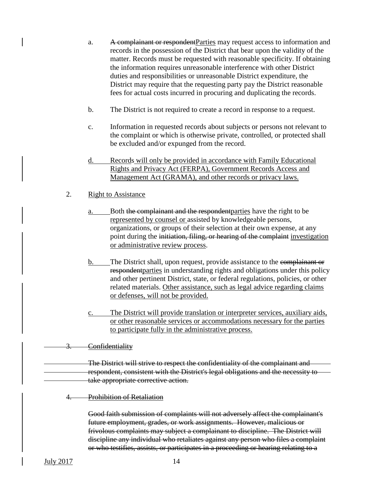- a. A complainant or respondentParties may request access to information and records in the possession of the District that bear upon the validity of the matter. Records must be requested with reasonable specificity. If obtaining the information requires unreasonable interference with other District duties and responsibilities or unreasonable District expenditure, the District may require that the requesting party pay the District reasonable fees for actual costs incurred in procuring and duplicating the records.
- b. The District is not required to create a record in response to a request.
- c. Information in requested records about subjects or persons not relevant to the complaint or which is otherwise private, controlled, or protected shall be excluded and/or expunged from the record.
- d. Records will only be provided in accordance with Family Educational Rights and Privacy Act (FERPA), Government Records Access and Management Act (GRAMA), and other records or privacy laws.
- 2. Right to Assistance
	- a. Both the complainant and the respondent parties have the right to be represented by counsel or assisted by knowledgeable persons, organizations, or groups of their selection at their own expense, at any point during the initiation, filing, or hearing of the complaint investigation or administrative review process.
	- b. The District shall, upon request, provide assistance to the complaine or respondentparties in understanding rights and obligations under this policy and other pertinent District, state, or federal regulations, policies, or other related materials. Other assistance, such as legal advice regarding claims or defenses, will not be provided.
	- c. The District will provide translation or interpreter services, auxiliary aids, or other reasonable services or accommodations necessary for the parties to participate fully in the administrative process.

**Confidentiality** 

- The District will strive to respect the confidentiality of the complainant and respondent, consistent with the District's legal obligations and the necessity to take appropriate corrective action.
	- 4. Prohibition of Retaliation

Good faith submission of complaints will not adversely affect the complainant's future employment, grades, or work assignments. However, malicious or frivolous complaints may subject a complainant to discipline. The District will discipline any individual who retaliates against any person who files a complaint or who testifies, assists, or participates in a proceeding or hearing relating to a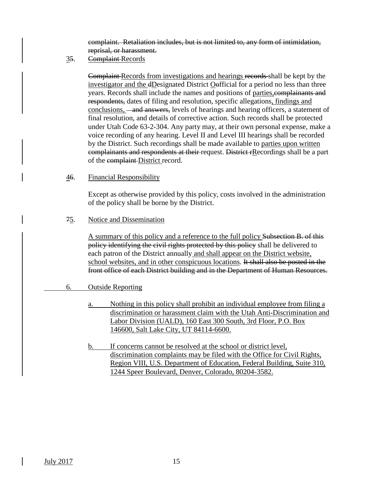complaint. Retaliation includes, but is not limited to, any form of intimidation, reprisal, or harassment.

### 35. Complaint Records

Complaint Records from investigations and hearings records shall be kept by the investigator and the dDesignated District Oofficial for a period no less than three years. Records shall include the names and positions of parties, complainants and respondents, dates of filing and resolution, specific allegations, findings and conclusions, <del>and answers,</del> levels of hearings and hearing officers, a statement of final resolution, and details of corrective action. Such records shall be protected under Utah Code 63-2-304. Any party may, at their own personal expense, make a voice recording of any hearing. Level II and Level III hearings shall be recorded by the District. Such recordings shall be made available to parties upon written complainants and respondents at their request. District rRecordings shall be a part of the complaint District record.

### 46. Financial Responsibility

Except as otherwise provided by this policy, costs involved in the administration of the policy shall be borne by the District.

### 75. Notice and Dissemination

A summary of this policy and a reference to the full policy Subsection B. of this policy identifying the civil rights protected by this policy shall be delivered to each patron of the District annually and shall appear on the District website, school websites, and in other conspicuous locations. It shall also be posted in the front office of each District building and in the Department of Human Resources.

# 6. Outside Reporting

- a. Nothing in this policy shall prohibit an individual employee from filing a discrimination or harassment claim with the Utah Anti-Discrimination and Labor Division (UALD), 160 East 300 South, 3rd Floor, P.O. Box 146600, Salt Lake City, UT 84114-6600.
- b. If concerns cannot be resolved at the school or district level, discrimination complaints may be filed with the Office for Civil Rights, Region VIII, U.S. Department of Education, Federal Building, Suite 310, 1244 Speer Boulevard, Denver, Colorado, 80204-3582.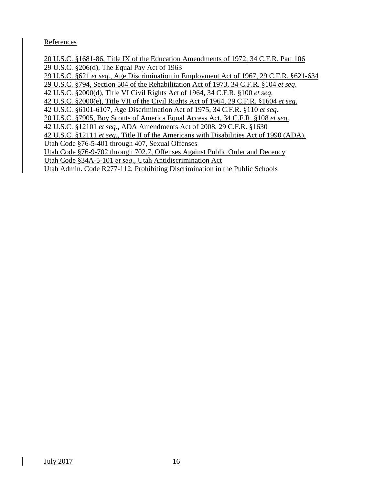**References** 

20 U.S.C. §1681-86, Title IX of the Education Amendments of 1972; 34 C.F.R. Part 106 29 U.S.C. §206(d), The Equal Pay Act of 1963 29 U.S.C. §621 *et seq*., Age Discrimination in Employment Act of 1967, 29 C.F.R. §621-634 29 U.S.C. §794, Section 504 of the Rehabilitation Act of 1973, 34 C.F.R. §104 *et seq*. 42 U.S.C. §2000(d), Title VI Civil Rights Act of 1964, 34 C.F.R. §100 *et seq*. 42 U.S.C. §2000(e), Title VII of the Civil Rights Act of 1964, 29 C.F.R. §1604 *et seq*. 42 U.S.C. §6101-6107, Age Discrimination Act of 1975, 34 C.F.R. §110 *et seq*. 20 U.S.C. §7905, Boy Scouts of America Equal Access Act, 34 C.F.R. §108 *et seq*. 42 U.S.C. §12101 *et seq*., ADA Amendments Act of 2008, 29 C.F.R. §1630 42 U.S.C. §12111 *et seq*., Title II of the Americans with Disabilities Act of 1990 (ADA), Utah Code §76-5-401 through 407, Sexual Offenses Utah Code §76-9-702 through 702.7, Offenses Against Public Order and Decency Utah Code §34A-5-101 *et seq*., Utah Antidiscrimination Act Utah Admin. Code R277-112, Prohibiting Discrimination in the Public Schools